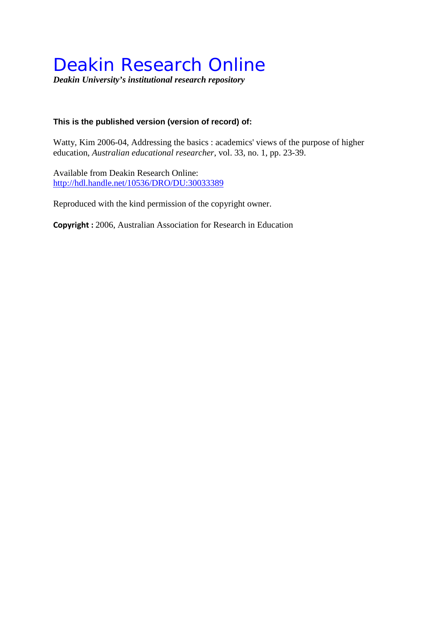# Deakin Research Online

*Deakin University's institutional research repository*

#### **This is the published version (version of record) of:**

Watty, Kim 2006-04, Addressing the basics : academics' views of the purpose of higher education*, Australian educational researcher*, vol. 33, no. 1, pp. 23-39.

Available from Deakin Research Online: <http://hdl.handle.net/10536/DRO/DU:30033389>

Reproduced with the kind permission of the copyright owner.

**Copyright :** 2006, Australian Association for Research in Education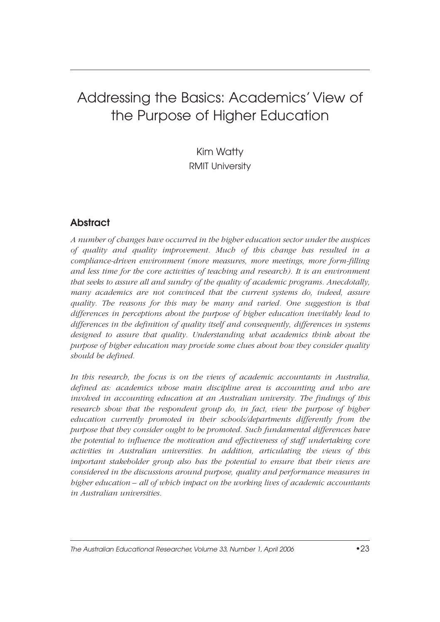## Addressing the Basics: Academics' View of the Purpose of Higher Education

Kim Watty RMIT University

## **Abstract**

*A number of changes have occurred in the higher education sector under the auspices of quality and quality improvement. Much of this change has resulted in a compliance-driven environment (more measures, more meetings, more form-filling and less time for the core activities of teaching and research). It is an environment that seeks to assure all and sundry of the quality of academic programs. Anecdotally, many academics are not convinced that the current systems do, indeed, assure quality. The reasons for this may be many and varied. One suggestion is that differences in perceptions about the purpose of higher education inevitably lead to differences in the definition of quality itself and consequently, differences in systems designed to assure that quality. Understanding what academics think about the purpose of higher education may provide some clues about how they consider quality should be defined.*

*In this research, the focus is on the views of academic accountants in Australia, defined as: academics whose main discipline area is accounting and who are involved in accounting education at an Australian university. The findings of this research show that the respondent group do, in fact, view the purpose of higher education currently promoted in their schools/departments differently from the purpose that they consider ought to be promoted. Such fundamental differences have the potential to influence the motivation and effectiveness of staff undertaking core activities in Australian universities. In addition, articulating the views of this important stakeholder group also has the potential to ensure that their views are considered in the discussions around purpose, quality and performance measures in higher education – all of which impact on the working lives of academic accountants in Australian universities.*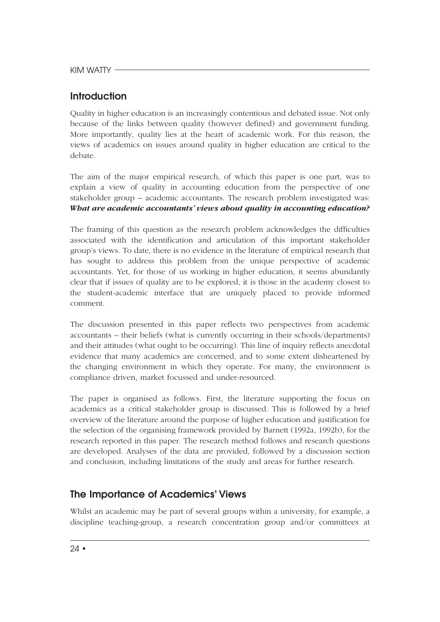## **Introduction**

Quality in higher education is an increasingly contentious and debated issue. Not only because of the links between quality (however defined) and government funding. More importantly, quality lies at the heart of academic work. For this reason, the views of academics on issues around quality in higher education are critical to the debate.

The aim of the major empirical research, of which this paper is one part, was to explain a view of quality in accounting education from the perspective of one stakeholder group – academic accountants. The research problem investigated was: *What are academic accountants' views about quality in accounting education?*

The framing of this question as the research problem acknowledges the difficulties associated with the identification and articulation of this important stakeholder group's views. To date, there is no evidence in the literature of empirical research that has sought to address this problem from the unique perspective of academic accountants. Yet, for those of us working in higher education, it seems abundantly clear that if issues of quality are to be explored, it is those in the academy closest to the student-academic interface that are uniquely placed to provide informed comment.

The discussion presented in this paper reflects two perspectives from academic accountants – their beliefs (what is currently occurring in their schools/departments) and their attitudes (what ought to be occurring). This line of inquiry reflects anecdotal evidence that many academics are concerned, and to some extent disheartened by the changing environment in which they operate. For many, the environment is compliance driven, market focussed and under-resourced.

The paper is organised as follows. First, the literature supporting the focus on academics as a critical stakeholder group is discussed. This is followed by a brief overview of the literature around the purpose of higher education and justification for the selection of the organising framework provided by Barnett (1992a, 1992b), for the research reported in this paper. The research method follows and research questions are developed. Analyses of the data are provided, followed by a discussion section and conclusion, including limitations of the study and areas for further research.

## **The Importance of Academics' Views**

Whilst an academic may be part of several groups within a university, for example, a discipline teaching-group, a research concentration group and/or committees at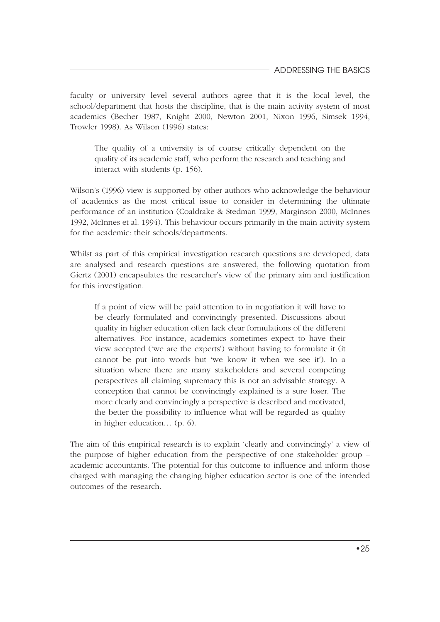faculty or university level several authors agree that it is the local level, the school/department that hosts the discipline, that is the main activity system of most academics (Becher 1987, Knight 2000, Newton 2001, Nixon 1996, Simsek 1994, Trowler 1998). As Wilson (1996) states:

The quality of a university is of course critically dependent on the quality of its academic staff, who perform the research and teaching and interact with students (p. 156).

Wilson's (1996) view is supported by other authors who acknowledge the behaviour of academics as the most critical issue to consider in determining the ultimate performance of an institution (Coaldrake & Stedman 1999, Marginson 2000, McInnes 1992, McInnes et al. 1994). This behaviour occurs primarily in the main activity system for the academic: their schools/departments.

Whilst as part of this empirical investigation research questions are developed, data are analysed and research questions are answered, the following quotation from Giertz (2001) encapsulates the researcher's view of the primary aim and justification for this investigation.

If a point of view will be paid attention to in negotiation it will have to be clearly formulated and convincingly presented. Discussions about quality in higher education often lack clear formulations of the different alternatives. For instance, academics sometimes expect to have their view accepted ('we are the experts') without having to formulate it (it cannot be put into words but 'we know it when we see it'). In a situation where there are many stakeholders and several competing perspectives all claiming supremacy this is not an advisable strategy. A conception that cannot be convincingly explained is a sure loser. The more clearly and convincingly a perspective is described and motivated, the better the possibility to influence what will be regarded as quality in higher education… (p. 6).

The aim of this empirical research is to explain 'clearly and convincingly' a view of the purpose of higher education from the perspective of one stakeholder group – academic accountants. The potential for this outcome to influence and inform those charged with managing the changing higher education sector is one of the intended outcomes of the research.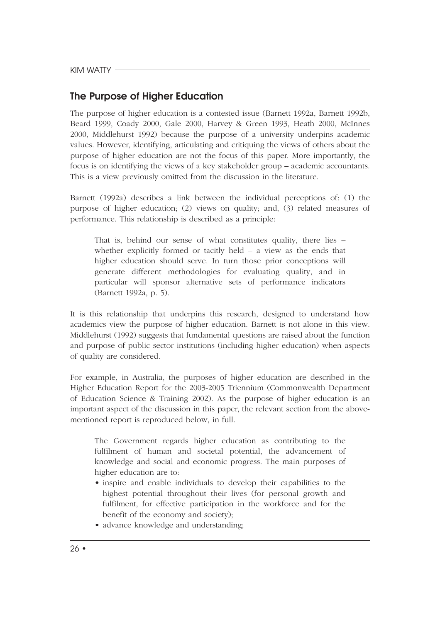## **The Purpose of Higher Education**

The purpose of higher education is a contested issue (Barnett 1992a, Barnett 1992b, Beard 1999, Coady 2000, Gale 2000, Harvey & Green 1993, Heath 2000, McInnes 2000, Middlehurst 1992) because the purpose of a university underpins academic values. However, identifying, articulating and critiquing the views of others about the purpose of higher education are not the focus of this paper. More importantly, the focus is on identifying the views of a key stakeholder group – academic accountants. This is a view previously omitted from the discussion in the literature.

Barnett (1992a) describes a link between the individual perceptions of: (1) the purpose of higher education; (2) views on quality; and, (3) related measures of performance. This relationship is described as a principle:

That is, behind our sense of what constitutes quality, there lies – whether explicitly formed or tacitly held – a view as the ends that higher education should serve. In turn those prior conceptions will generate different methodologies for evaluating quality, and in particular will sponsor alternative sets of performance indicators (Barnett 1992a, p. 5).

It is this relationship that underpins this research, designed to understand how academics view the purpose of higher education. Barnett is not alone in this view. Middlehurst (1992) suggests that fundamental questions are raised about the function and purpose of public sector institutions (including higher education) when aspects of quality are considered.

For example, in Australia, the purposes of higher education are described in the Higher Education Report for the 2003-2005 Triennium (Commonwealth Department of Education Science & Training 2002). As the purpose of higher education is an important aspect of the discussion in this paper, the relevant section from the abovementioned report is reproduced below, in full.

The Government regards higher education as contributing to the fulfilment of human and societal potential, the advancement of knowledge and social and economic progress. The main purposes of higher education are to:

- inspire and enable individuals to develop their capabilities to the highest potential throughout their lives (for personal growth and fulfilment, for effective participation in the workforce and for the benefit of the economy and society);
- advance knowledge and understanding;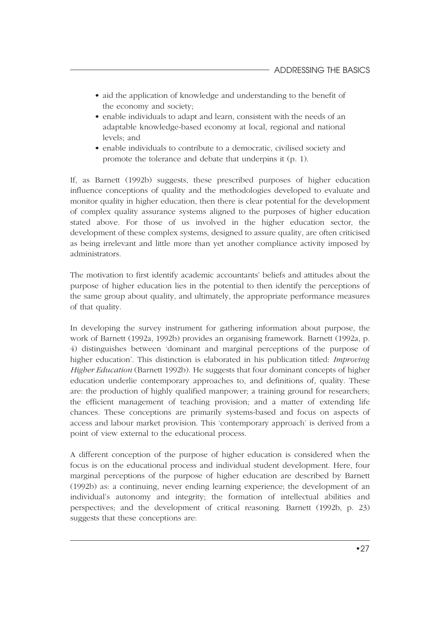- aid the application of knowledge and understanding to the benefit of the economy and society;
- enable individuals to adapt and learn, consistent with the needs of an adaptable knowledge-based economy at local, regional and national levels; and
- enable individuals to contribute to a democratic, civilised society and promote the tolerance and debate that underpins it (p. 1).

If, as Barnett (1992b) suggests, these prescribed purposes of higher education influence conceptions of quality and the methodologies developed to evaluate and monitor quality in higher education, then there is clear potential for the development of complex quality assurance systems aligned to the purposes of higher education stated above. For those of us involved in the higher education sector, the development of these complex systems, designed to assure quality, are often criticised as being irrelevant and little more than yet another compliance activity imposed by administrators.

The motivation to first identify academic accountants' beliefs and attitudes about the purpose of higher education lies in the potential to then identify the perceptions of the same group about quality, and ultimately, the appropriate performance measures of that quality.

In developing the survey instrument for gathering information about purpose, the work of Barnett (1992a, 1992b) provides an organising framework. Barnett (1992a, p. 4) distinguishes between 'dominant and marginal perceptions of the purpose of higher education'. This distinction is elaborated in his publication titled: *Improving Higher Education* (Barnett 1992b). He suggests that four dominant concepts of higher education underlie contemporary approaches to, and definitions of, quality. These are: the production of highly qualified manpower; a training ground for researchers; the efficient management of teaching provision; and a matter of extending life chances. These conceptions are primarily systems-based and focus on aspects of access and labour market provision. This 'contemporary approach' is derived from a point of view external to the educational process.

A different conception of the purpose of higher education is considered when the focus is on the educational process and individual student development. Here, four marginal perceptions of the purpose of higher education are described by Barnett (1992b) as: a continuing, never ending learning experience; the development of an individual's autonomy and integrity; the formation of intellectual abilities and perspectives; and the development of critical reasoning. Barnett (1992b, p. 23) suggests that these conceptions are: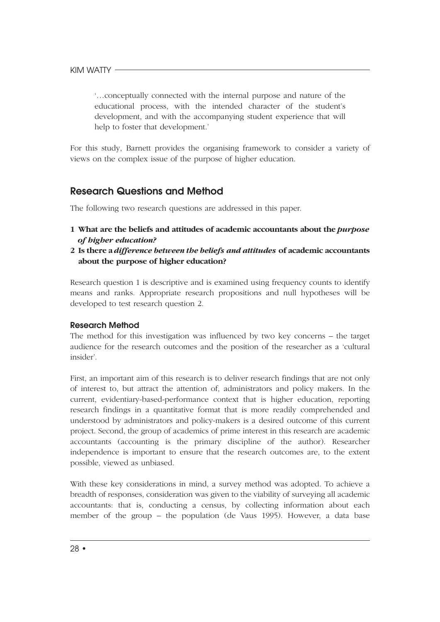'…conceptually connected with the internal purpose and nature of the educational process, with the intended character of the student's development, and with the accompanying student experience that will help to foster that development.'

For this study, Barnett provides the organising framework to consider a variety of views on the complex issue of the purpose of higher education.

## **Research Questions and Method**

The following two research questions are addressed in this paper.

- **1 What are the beliefs and attitudes of academic accountants about the** *purpose of higher education?*
- **2 Is there a** *difference between the beliefs and attitudes* **of academic accountants about the purpose of higher education?**

Research question 1 is descriptive and is examined using frequency counts to identify means and ranks. Appropriate research propositions and null hypotheses will be developed to test research question 2.

#### **Research Method**

The method for this investigation was influenced by two key concerns – the target audience for the research outcomes and the position of the researcher as a 'cultural insider'.

First, an important aim of this research is to deliver research findings that are not only of interest to, but attract the attention of, administrators and policy makers. In the current, evidentiary-based-performance context that is higher education, reporting research findings in a quantitative format that is more readily comprehended and understood by administrators and policy-makers is a desired outcome of this current project. Second, the group of academics of prime interest in this research are academic accountants (accounting is the primary discipline of the author). Researcher independence is important to ensure that the research outcomes are, to the extent possible, viewed as unbiased.

With these key considerations in mind, a survey method was adopted. To achieve a breadth of responses, consideration was given to the viability of surveying all academic accountants: that is, conducting a census, by collecting information about each member of the group – the population (de Vaus 1995). However, a data base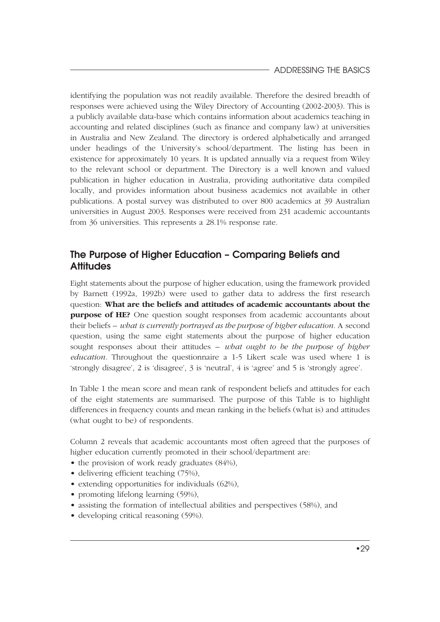identifying the population was not readily available. Therefore the desired breadth of responses were achieved using the Wiley Directory of Accounting (2002-2003). This is a publicly available data-base which contains information about academics teaching in accounting and related disciplines (such as finance and company law) at universities in Australia and New Zealand. The directory is ordered alphabetically and arranged under headings of the University's school/department. The listing has been in existence for approximately 10 years. It is updated annually via a request from Wiley to the relevant school or department. The Directory is a well known and valued publication in higher education in Australia, providing authoritative data compiled locally, and provides information about business academics not available in other publications. A postal survey was distributed to over 800 academics at 39 Australian universities in August 2003. Responses were received from 231 academic accountants from 36 universities. This represents a 28.1% response rate.

## **The Purpose of Higher Education – Comparing Beliefs and Attitudes**

Eight statements about the purpose of higher education, using the framework provided by Barnett (1992a, 1992b) were used to gather data to address the first research question: **What are the beliefs and attitudes of academic accountants about the purpose of HE?** One question sought responses from academic accountants about their beliefs – *what is currently portrayed as the purpose of higher education.* A second question, using the same eight statements about the purpose of higher education sought responses about their attitudes – *what ought to be the purpose of higher education.* Throughout the questionnaire a 1-5 Likert scale was used where 1 is 'strongly disagree', 2 is 'disagree', 3 is 'neutral', 4 is 'agree' and 5 is 'strongly agree'.

In Table 1 the mean score and mean rank of respondent beliefs and attitudes for each of the eight statements are summarised. The purpose of this Table is to highlight differences in frequency counts and mean ranking in the beliefs (what is) and attitudes (what ought to be) of respondents.

Column 2 reveals that academic accountants most often agreed that the purposes of higher education currently promoted in their school/department are:

- the provision of work ready graduates  $(84%)$ ,
- delivering efficient teaching (75%).
- extending opportunities for individuals (62%),
- promoting lifelong learning (59%),
- assisting the formation of intellectual abilities and perspectives (58%), and
- developing critical reasoning (59%).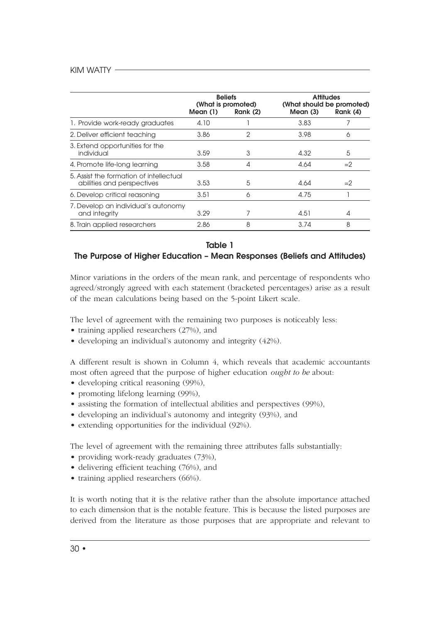|                                                                       | <b>Beliefs</b><br>(What is promoted)<br>Mean (1)<br>Rank $(2)$ |                | <b>Attitudes</b><br>(What should be promoted)<br>Mean (3)<br>Rank (4) |      |
|-----------------------------------------------------------------------|----------------------------------------------------------------|----------------|-----------------------------------------------------------------------|------|
| 1. Provide work-ready graduates                                       | 4.10                                                           |                | 3.83                                                                  |      |
| 2. Deliver efficient teaching                                         | 3.86                                                           | $\mathcal{P}$  | 3.98                                                                  | 6    |
| 3. Extend opportunities for the<br>individual                         | 3.59                                                           | 3              | 4.32                                                                  | 5    |
| 4. Promote life-long learning                                         | 3.58                                                           | $\overline{A}$ | 4.64                                                                  | $=2$ |
| 5. Assist the formation of intellectual<br>abilities and perspectives | 3.53                                                           | 5              | 4.64                                                                  | $=2$ |
| 6. Develop critical reasoning                                         | 3.51                                                           | 6              | 4.75                                                                  |      |
| 7. Develop an individual's autonomy<br>and integrity                  | 3.29                                                           |                | 4.51                                                                  | 4    |
| 8. Train applied researchers                                          | 2.86                                                           | 8              | 3.74                                                                  | 8    |

#### **Table 1**

#### **The Purpose of Higher Education – Mean Responses (Beliefs and Attitudes)**

Minor variations in the orders of the mean rank, and percentage of respondents who agreed/strongly agreed with each statement (bracketed percentages) arise as a result of the mean calculations being based on the 5-point Likert scale.

The level of agreement with the remaining two purposes is noticeably less:

- training applied researchers (27%), and
- developing an individual's autonomy and integrity (42%).

A different result is shown in Column 4, which reveals that academic accountants most often agreed that the purpose of higher education *ought to be* about:

- developing critical reasoning (99%),
- promoting lifelong learning (99%).
- assisting the formation of intellectual abilities and perspectives (99%),
- developing an individual's autonomy and integrity (93%), and
- extending opportunities for the individual (92%).

The level of agreement with the remaining three attributes falls substantially:

- providing work-ready graduates (73%),
- delivering efficient teaching (76%), and
- training applied researchers (66%).

It is worth noting that it is the relative rather than the absolute importance attached to each dimension that is the notable feature. This is because the listed purposes are derived from the literature as those purposes that are appropriate and relevant to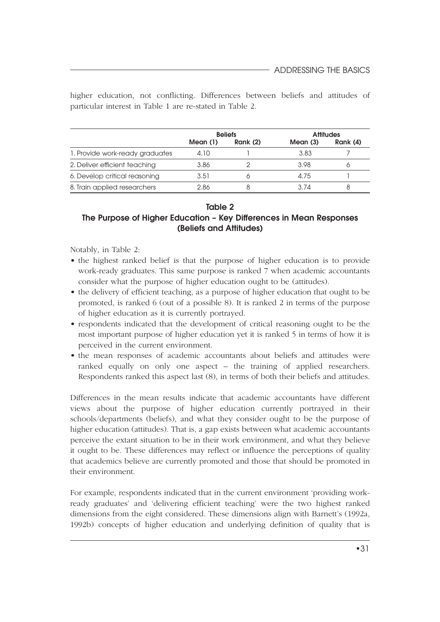higher education, not conflicting. Differences between beliefs and attitudes of particular interest in Table 1 are re-stated in Table 2.

|                                 | <b>Beliefs</b> |          | <b>Attitudes</b> |          |
|---------------------------------|----------------|----------|------------------|----------|
|                                 | Mean (1)       | Rank (2) | Mean (3)         | Rank (4) |
| 1. Provide work-ready graduates | 4.10           |          | 3.83             |          |
| 2. Deliver efficient teaching   | 3.86           |          | 3.98             |          |
| 6. Develop critical reasoning   | 3.51           | Ô        | 4.75             |          |
| 8. Train applied researchers    | 2.86           | 8        | 3 74             |          |

#### **Table 2**

## **The Purpose of Higher Education – Key Differences in Mean Responses (Beliefs and Attitudes)**

Notably, in Table 2:

- the highest ranked belief is that the purpose of higher education is to provide work-ready graduates. This same purpose is ranked 7 when academic accountants consider what the purpose of higher education ought to be (attitudes).
- the delivery of efficient teaching, as a purpose of higher education that ought to be promoted, is ranked 6 (out of a possible 8). It is ranked 2 in terms of the purpose of higher education as it is currently portrayed.
- respondents indicated that the development of critical reasoning ought to be the most important purpose of higher education yet it is ranked 5 in terms of how it is perceived in the current environment.
- the mean responses of academic accountants about beliefs and attitudes were ranked equally on only one aspect – the training of applied researchers. Respondents ranked this aspect last (8), in terms of both their beliefs and attitudes.

Differences in the mean results indicate that academic accountants have different views about the purpose of higher education currently portrayed in their schools/departments (beliefs), and what they consider ought to be the purpose of higher education (attitudes). That is, a gap exists between what academic accountants perceive the extant situation to be in their work environment, and what they believe it ought to be. These differences may reflect or influence the perceptions of quality that academics believe are currently promoted and those that should be promoted in their environment.

For example, respondents indicated that in the current environment 'providing workready graduates' and 'delivering efficient teaching' were the two highest ranked dimensions from the eight considered. These dimensions align with Barnett's (1992a, 1992b) concepts of higher education and underlying definition of quality that is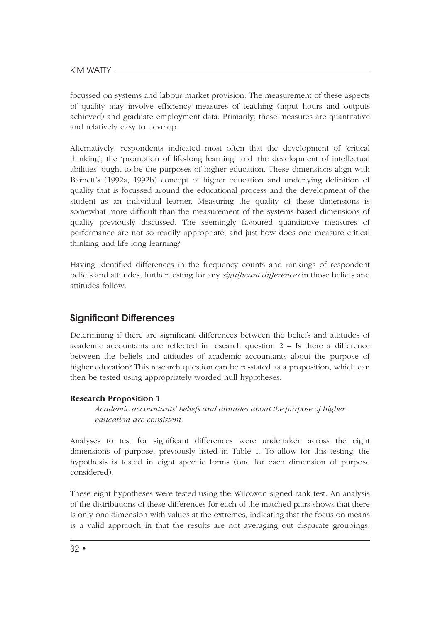focussed on systems and labour market provision. The measurement of these aspects of quality may involve efficiency measures of teaching (input hours and outputs achieved) and graduate employment data. Primarily, these measures are quantitative and relatively easy to develop.

Alternatively, respondents indicated most often that the development of 'critical thinking', the 'promotion of life-long learning' and 'the development of intellectual abilities' ought to be the purposes of higher education. These dimensions align with Barnett's (1992a, 1992b) concept of higher education and underlying definition of quality that is focussed around the educational process and the development of the student as an individual learner. Measuring the quality of these dimensions is somewhat more difficult than the measurement of the systems-based dimensions of quality previously discussed. The seemingly favoured quantitative measures of performance are not so readily appropriate, and just how does one measure critical thinking and life-long learning?

Having identified differences in the frequency counts and rankings of respondent beliefs and attitudes, further testing for any *significant differences* in those beliefs and attitudes follow.

## **Significant Differences**

Determining if there are significant differences between the beliefs and attitudes of academic accountants are reflected in research question 2 – Is there a difference between the beliefs and attitudes of academic accountants about the purpose of higher education? This research question can be re-stated as a proposition, which can then be tested using appropriately worded null hypotheses.

#### **Research Proposition 1**

*Academic accountants' beliefs and attitudes about the purpose of higher education are consistent.*

Analyses to test for significant differences were undertaken across the eight dimensions of purpose, previously listed in Table 1. To allow for this testing, the hypothesis is tested in eight specific forms (one for each dimension of purpose considered).

These eight hypotheses were tested using the Wilcoxon signed-rank test. An analysis of the distributions of these differences for each of the matched pairs shows that there is only one dimension with values at the extremes, indicating that the focus on means is a valid approach in that the results are not averaging out disparate groupings.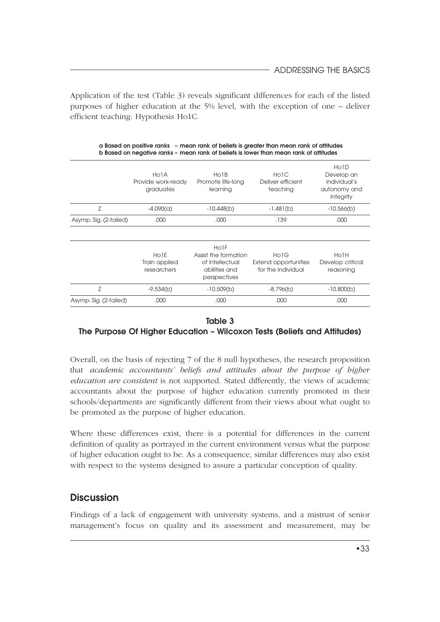Application of the test (Table 3) reveals significant differences for each of the listed purposes of higher education at the 5% level, with the exception of one – deliver efficient teaching: Hypothesis Ho1C.

| <u>u puseu on negume runns – meun runn or beneis is iower mun meun runn or unnuues</u> |                                                      |                                                                                  |                                                    |                                                                        |  |  |  |
|----------------------------------------------------------------------------------------|------------------------------------------------------|----------------------------------------------------------------------------------|----------------------------------------------------|------------------------------------------------------------------------|--|--|--|
|                                                                                        | Ho <sub>1</sub> A<br>Provide work-ready<br>graduates | $H_O$ <sub>B</sub><br>Promote life-long<br>learning                              | HolC<br>Deliver efficient<br>teaching              | <b>HolD</b><br>Develop an<br>individual's<br>autonomy and<br>integrity |  |  |  |
| Z                                                                                      | $-4.090(a)$                                          | $-10.448(b)$                                                                     | $-1.481(b)$                                        | $-10.566(b)$                                                           |  |  |  |
| Asymp. Sig. (2-tailed)                                                                 | .000                                                 | .000                                                                             | .139                                               | .000                                                                   |  |  |  |
|                                                                                        |                                                      |                                                                                  |                                                    |                                                                        |  |  |  |
|                                                                                        | HolE<br>Train applied<br>researchers                 | HolF<br>Assist the formation<br>of intellectual<br>abilities and<br>perspectives | HolG<br>Extend opportunities<br>for the individual | Ho <sub>1</sub> H<br>Develop critical<br>reasoning                     |  |  |  |
| Z                                                                                      | $-9.534(b)$                                          | $-10.509(b)$                                                                     | $-8.796(b)$                                        | $-10.800(b)$                                                           |  |  |  |
| Asymp. Sig. (2-tailed)                                                                 | .000                                                 | .000                                                                             | .000                                               | .000                                                                   |  |  |  |

#### **a Based on positive ranks – mean rank of beliefs is greater than mean rank of attitudes b Based on negative ranks – mean rank of beliefs is lower than mean rank of attitudes**

#### **Table 3**

#### **The Purpose Of Higher Education – Wilcoxon Tests (Beliefs and Attitudes)**

Overall, on the basis of rejecting 7 of the 8 null hypotheses, the research proposition that *academic accountants' beliefs and attitudes about the purpose of higher education are consistent* is not supported. Stated differently, the views of academic accountants about the purpose of higher education currently promoted in their schools/departments are significantly different from their views about what ought to be promoted as the purpose of higher education.

Where these differences exist, there is a potential for differences in the current definition of quality as portrayed in the current environment versus what the purpose of higher education ought to be. As a consequence, similar differences may also exist with respect to the systems designed to assure a particular conception of quality.

## **Discussion**

Findings of a lack of engagement with university systems, and a mistrust of senior management's focus on quality and its assessment and measurement, may be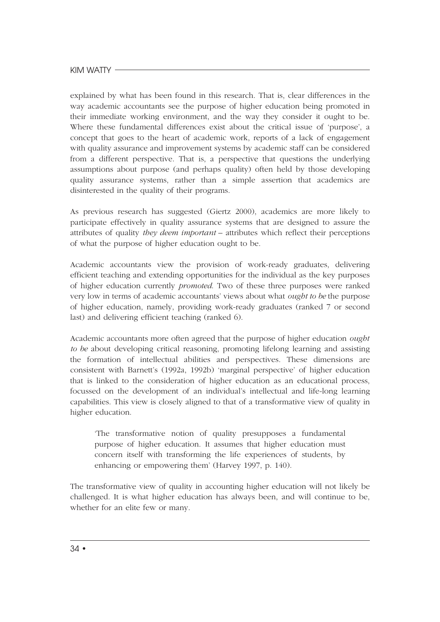explained by what has been found in this research. That is, clear differences in the way academic accountants see the purpose of higher education being promoted in their immediate working environment, and the way they consider it ought to be. Where these fundamental differences exist about the critical issue of 'purpose', a concept that goes to the heart of academic work, reports of a lack of engagement with quality assurance and improvement systems by academic staff can be considered from a different perspective. That is, a perspective that questions the underlying assumptions about purpose (and perhaps quality) often held by those developing quality assurance systems, rather than a simple assertion that academics are disinterested in the quality of their programs.

As previous research has suggested (Giertz 2000), academics are more likely to participate effectively in quality assurance systems that are designed to assure the attributes of quality *they deem important* – attributes which reflect their perceptions of what the purpose of higher education ought to be.

Academic accountants view the provision of work-ready graduates, delivering efficient teaching and extending opportunities for the individual as the key purposes of higher education currently *promoted*. Two of these three purposes were ranked very low in terms of academic accountants' views about what *ought to be* the purpose of higher education, namely, providing work-ready graduates (ranked 7 or second last) and delivering efficient teaching (ranked 6).

Academic accountants more often agreed that the purpose of higher education *ought to be* about developing critical reasoning, promoting lifelong learning and assisting the formation of intellectual abilities and perspectives. These dimensions are consistent with Barnett's (1992a, 1992b) 'marginal perspective' of higher education that is linked to the consideration of higher education as an educational process, focussed on the development of an individual's intellectual and life-long learning capabilities. This view is closely aligned to that of a transformative view of quality in higher education.

'The transformative notion of quality presupposes a fundamental purpose of higher education. It assumes that higher education must concern itself with transforming the life experiences of students, by enhancing or empowering them' (Harvey 1997, p. 140).

The transformative view of quality in accounting higher education will not likely be challenged. It is what higher education has always been, and will continue to be, whether for an elite few or many.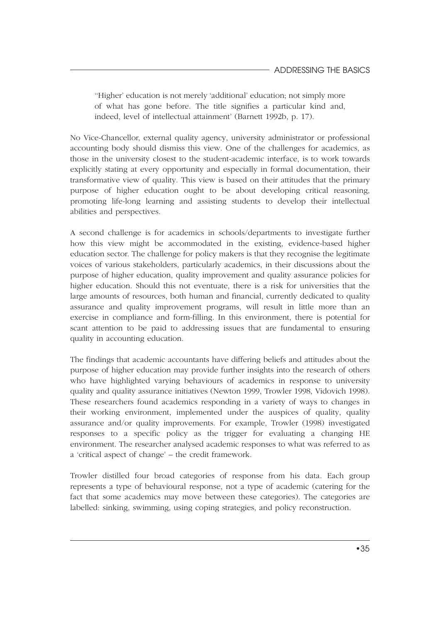''Higher' education is not merely 'additional' education; not simply more of what has gone before. The title signifies a particular kind and, indeed, level of intellectual attainment' (Barnett 1992b, p. 17).

No Vice-Chancellor, external quality agency, university administrator or professional accounting body should dismiss this view. One of the challenges for academics, as those in the university closest to the student-academic interface, is to work towards explicitly stating at every opportunity and especially in formal documentation, their transformative view of quality. This view is based on their attitudes that the primary purpose of higher education ought to be about developing critical reasoning, promoting life-long learning and assisting students to develop their intellectual abilities and perspectives.

A second challenge is for academics in schools/departments to investigate further how this view might be accommodated in the existing, evidence-based higher education sector. The challenge for policy makers is that they recognise the legitimate voices of various stakeholders, particularly academics, in their discussions about the purpose of higher education, quality improvement and quality assurance policies for higher education. Should this not eventuate, there is a risk for universities that the large amounts of resources, both human and financial, currently dedicated to quality assurance and quality improvement programs, will result in little more than an exercise in compliance and form-filling. In this environment, there is potential for scant attention to be paid to addressing issues that are fundamental to ensuring quality in accounting education.

The findings that academic accountants have differing beliefs and attitudes about the purpose of higher education may provide further insights into the research of others who have highlighted varying behaviours of academics in response to university quality and quality assurance initiatives (Newton 1999, Trowler 1998, Vidovich 1998). These researchers found academics responding in a variety of ways to changes in their working environment, implemented under the auspices of quality, quality assurance and/or quality improvements. For example, Trowler (1998) investigated responses to a specific policy as the trigger for evaluating a changing HE environment. The researcher analysed academic responses to what was referred to as a 'critical aspect of change' – the credit framework.

Trowler distilled four broad categories of response from his data. Each group represents a type of behavioural response, not a type of academic (catering for the fact that some academics may move between these categories). The categories are labelled: sinking, swimming, using coping strategies, and policy reconstruction.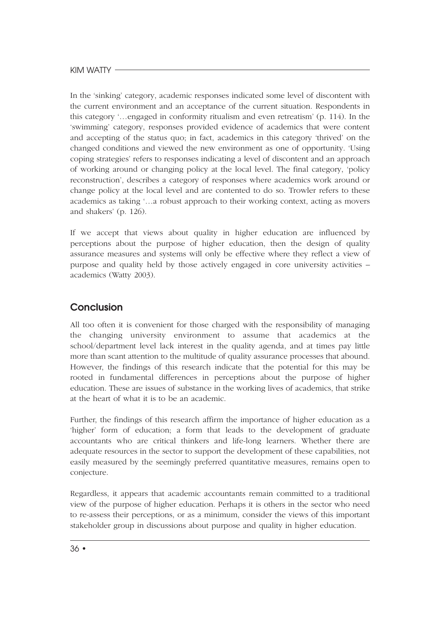In the 'sinking' category, academic responses indicated some level of discontent with the current environment and an acceptance of the current situation. Respondents in this category '…engaged in conformity ritualism and even retreatism' (p. 114). In the 'swimming' category, responses provided evidence of academics that were content and accepting of the status quo; in fact, academics in this category 'thrived' on the changed conditions and viewed the new environment as one of opportunity. 'Using coping strategies' refers to responses indicating a level of discontent and an approach of working around or changing policy at the local level. The final category, 'policy reconstruction', describes a category of responses where academics work around or change policy at the local level and are contented to do so. Trowler refers to these academics as taking '…a robust approach to their working context, acting as movers and shakers' (p. 126).

If we accept that views about quality in higher education are influenced by perceptions about the purpose of higher education, then the design of quality assurance measures and systems will only be effective where they reflect a view of purpose and quality held by those actively engaged in core university activities – academics (Watty 2003).

## **Conclusion**

All too often it is convenient for those charged with the responsibility of managing the changing university environment to assume that academics at the school/department level lack interest in the quality agenda, and at times pay little more than scant attention to the multitude of quality assurance processes that abound. However, the findings of this research indicate that the potential for this may be rooted in fundamental differences in perceptions about the purpose of higher education. These are issues of substance in the working lives of academics, that strike at the heart of what it is to be an academic.

Further, the findings of this research affirm the importance of higher education as a 'higher' form of education; a form that leads to the development of graduate accountants who are critical thinkers and life-long learners. Whether there are adequate resources in the sector to support the development of these capabilities, not easily measured by the seemingly preferred quantitative measures, remains open to conjecture.

Regardless, it appears that academic accountants remain committed to a traditional view of the purpose of higher education. Perhaps it is others in the sector who need to re-assess their perceptions, or as a minimum, consider the views of this important stakeholder group in discussions about purpose and quality in higher education.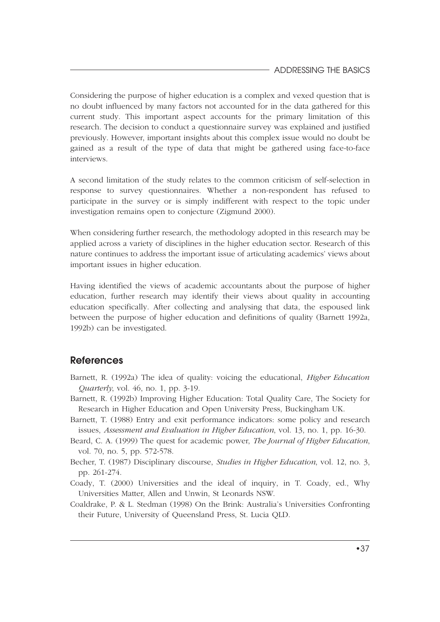Considering the purpose of higher education is a complex and vexed question that is no doubt influenced by many factors not accounted for in the data gathered for this current study. This important aspect accounts for the primary limitation of this research. The decision to conduct a questionnaire survey was explained and justified previously. However, important insights about this complex issue would no doubt be gained as a result of the type of data that might be gathered using face-to-face interviews.

A second limitation of the study relates to the common criticism of self-selection in response to survey questionnaires. Whether a non-respondent has refused to participate in the survey or is simply indifferent with respect to the topic under investigation remains open to conjecture (Zigmund 2000).

When considering further research, the methodology adopted in this research may be applied across a variety of disciplines in the higher education sector. Research of this nature continues to address the important issue of articulating academics' views about important issues in higher education.

Having identified the views of academic accountants about the purpose of higher education, further research may identify their views about quality in accounting education specifically. After collecting and analysing that data, the espoused link between the purpose of higher education and definitions of quality (Barnett 1992a, 1992b) can be investigated.

## **References**

- Barnett, R. (1992a) The idea of quality: voicing the educational, *Higher Education Quarterly*, vol. 46, no. 1, pp. 3-19.
- Barnett, R. (1992b) Improving Higher Education: Total Quality Care, The Society for Research in Higher Education and Open University Press, Buckingham UK.
- Barnett, T. (1988) Entry and exit performance indicators: some policy and research issues, *Assessment and Evaluation in Higher Education*, vol. 13, no. 1, pp. 16-30.
- Beard, C. A. (1999) The quest for academic power, *The Journal of Higher Education*, vol. 70, no. 5, pp. 572-578.
- Becher, T. (1987) Disciplinary discourse, *Studies in Higher Education*, vol. 12, no. 3, pp. 261-274.
- Coady, T. (2000) Universities and the ideal of inquiry, in T. Coady, ed., Why Universities Matter, Allen and Unwin, St Leonards NSW.
- Coaldrake, P. & L. Stedman (1998) On the Brink: Australia's Universities Confronting their Future, University of Queensland Press, St. Lucia QLD.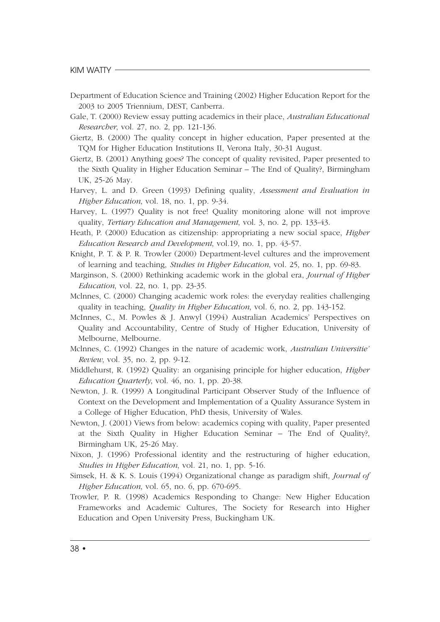- Department of Education Science and Training (2002) Higher Education Report for the 2003 to 2005 Triennium, DEST, Canberra.
- Gale, T. (2000) Review essay putting academics in their place, *Australian Educational Researcher*, vol. 27, no. 2, pp. 121-136.
- Giertz, B. (2000) The quality concept in higher education, Paper presented at the TQM for Higher Education Institutions II, Verona Italy, 30-31 August.
- Giertz, B. (2001) Anything goes? The concept of quality revisited, Paper presented to the Sixth Quality in Higher Education Seminar – The End of Quality?, Birmingham UK, 25-26 May.
- Harvey, L. and D. Green (1993) Defining quality, *Assessment and Evaluation in Higher Education*, vol. 18, no. 1, pp. 9-34.
- Harvey, L. (1997) Quality is not free! Quality monitoring alone will not improve quality, *Tertiary Education and Management*, vol. 3, no. 2, pp. 133-43.
- Heath, P. (2000) Education as citizenship: appropriating a new social space, *Higher Education Research and Development*, vol.19, no. 1, pp. 43-57.
- Knight, P. T. & P. R. Trowler (2000) Department-level cultures and the improvement of learning and teaching, *Studies in Higher Education*, vol. 25, no. 1, pp. 69-83.
- Marginson, S. (2000) Rethinking academic work in the global era, *Journal of Higher Education*, vol. 22, no. 1, pp. 23-35.
- Mclnnes, C. (2000) Changing academic work roles: the everyday realities challenging quality in teaching, *Quality in Higher Education*, vol. 6, no. 2, pp. 143-152.
- McInnes, C., M. Powles & J. Anwyl (1994) Australian Academics' Perspectives on Quality and Accountability, Centre of Study of Higher Education, University of Melbourne, Melbourne.
- Mclnnes, C. (1992) Changes in the nature of academic work, *Australian Universitie' Review*, vol. 35, no. 2, pp. 9-12.
- Middlehurst, R. (1992) Quality: an organising principle for higher education, *Higher Education Quarterly*, vol. 46, no. 1, pp. 20-38.
- Newton, J. R. (1999) A Longitudinal Participant Observer Study of the Influence of Context on the Development and Implementation of a Quality Assurance System in a College of Higher Education, PhD thesis, University of Wales.
- Newton, J. (2001) Views from below: academics coping with quality, Paper presented at the Sixth Quality in Higher Education Seminar – The End of Quality?, Birmingham UK, 25-26 May.
- Nixon, J. (1996) Professional identity and the restructuring of higher education, *Studies in Higher Education*, vol. 21, no. 1, pp. 5-16.
- Simsek, H. & K. S. Louis (1994) Organizational change as paradigm shift, *Journal of Higher Education*, vol. 65, no. 6, pp. 670-695.
- Trowler, P. R. (1998) Academics Responding to Change: New Higher Education Frameworks and Academic Cultures, The Society for Research into Higher Education and Open University Press, Buckingham UK.